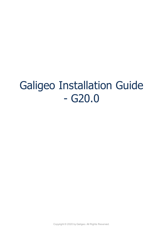# Galigeo Installation Guide - G20.0

Copyright © 2020 by Galigeo. All Rights Reserved.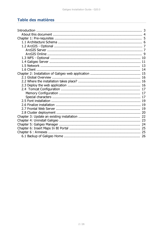# Table des matières

| 5  |
|----|
|    |
|    |
|    |
|    |
|    |
|    |
|    |
|    |
|    |
|    |
|    |
|    |
|    |
|    |
| 17 |
|    |
|    |
| 19 |
|    |
|    |
| 23 |
|    |
|    |
|    |
| 26 |
|    |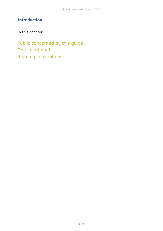# <span id="page-2-0"></span>**Introduction**

In this chapter:

Public concerned by this guide Document goal Reading conventions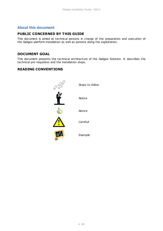## <span id="page-3-0"></span>**About this document**

## **PUBLIC CONCERNED BY THIS GUIDE**

This document is aimed at technical persons in charge of the preparation and execution of the Galigeo platform installation as well as persons doing the exploitation.

## **DOCUMENT GOAL**

This document presents the technical architecture of the Galigeo Solution. It describes the technical pre-requisites and the installation steps.

## **READING CONVENTIONS**

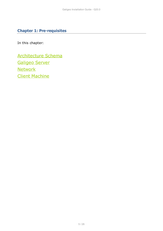# <span id="page-4-0"></span>**Chapter 1: Pre-requisites**

In this chapter:

[Architecture Schema](#page-5-0) [Galigeo Server](#page-10-0) **[Network](#page-12-0)** [Client Machine](#page-13-0)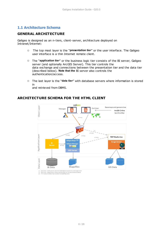## <span id="page-5-0"></span>**1.1 Architecture Schema**

### **GENERAL ARCHITECTURE**

Galigeo is designed as an n-tiers, client-server, architecture deployed on Intranet/Internet:

- o The top most layer is the "**presentation tier**" or the user interface. The Galigeo user interface is a thin Internet remote client.
- o The "**application tier**" or the business logic tier consists of the BI server, Galigeo server (and optionally ArcGIS Server). This tier controls the data exchange and connections between the presentation tier and the data tier (described below). **Note that the** BI server also controls the authentication/access.
- o The last layer is the "**data tier**" with database servers where information is stored in

and retrieved from DBMS.

#### Galigeo Client Layer **Basemaps and geoservices End User** Manager E E ArcGIS Online OpenStreetMap  $HTTP(S)$ **HTTPIS**  $TTP(S)$ Application Layer  $HTTP(S)$ **REST MapServices** Galigeo Maps<sup>(3</sup> **Arcgi Galigeo Manag HTTP**(S Galigeo J2EE Server Data Layer Shapefiles **GIS Data BI** Data

## **ARCHITECTURE SCHEMA FOR THE HTML CLIENT**

(1) Optionnal - Used by by the user if the basemaps are stored on a local Arcgis S<br>(3) Optionnal - Galigeo Maps needs to accessarcgis.com for isochronescalculati<br>(4) Print module needs to have access to the basemap server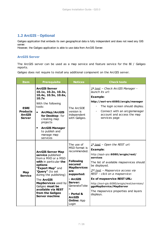## <span id="page-6-0"></span>**1.2 ArcGIS - Optional**

Galigeo application that embeds its own geographical data is fully independent and does not need any GIS server.

However, the Galigeo application is able to use data from ArcGIS Server.

#### <span id="page-6-1"></span>**ArcGIS Server**

The ArcGIS server can be used as a map service and feature service for the BI / Galigeo reports.

Galigeo does not require to install any additional component on the ArcGIS server.

| <b>Item</b>                                               | <b>Prerequisite</b>                                                                                                                                                                    | <b>Notices</b>                                             | <b>Check tests</b>                                                                                                                                                                                                                                   |
|-----------------------------------------------------------|----------------------------------------------------------------------------------------------------------------------------------------------------------------------------------------|------------------------------------------------------------|------------------------------------------------------------------------------------------------------------------------------------------------------------------------------------------------------------------------------------------------------|
| <b>ESRI</b><br><b>Products</b><br><b>ArcGIS</b><br>Server | <b>ArcGIS Server</b><br>10.1x, 10.2x, 10.3x,<br>10.4x, 10.5x, 10.6x,<br>10.7x<br>With the following<br>tools:<br><b>ArcMap/ArcGIS</b><br>$\bullet$<br>for Desktop: for<br>creating map | The ArcSDE<br>version is<br>independent<br>with Galigeo.   | 1st test - Check ArcGIS Manager -<br>launch its url:<br><b>Example:</b><br>http://esri-srv:6080/arcgis/manager<br>The login screen should display.<br>$\blacksquare$<br>Connect with an arcgismanager<br>account and access the map<br>services page |
|                                                           | projects<br><b>ArcGIS Manager</b><br>$\bullet$<br>to publish and<br>manage map<br>services                                                                                             |                                                            |                                                                                                                                                                                                                                                      |
|                                                           | <b>ArcGIS Server Map</b><br>service published<br>from a MXD or a MSD                                                                                                                   | The use of<br>MSD format is<br>recommended.                | $1st$ test - Open the REST url:<br><b>Example:</b><br>http://esri-srv:6080/arcgis/rest/<br>services                                                                                                                                                  |
| Map<br><b>Service</b>                                     | with in particular the<br>options<br>"Export Map" and                                                                                                                                  | <b>Following</b><br>secured<br><b>MapServices</b>          | The list of available mapservices should<br>be displayed.                                                                                                                                                                                            |
|                                                           | "Query" (to set<br>during the publishing)                                                                                                                                              | are<br>supported:                                          | 2 <sup>nd</sup> _test - Mapservice access via<br>REST - click on a mapservice:                                                                                                                                                                       |
|                                                           | The <b>ArcGIS</b><br>MapServices used by<br>Galigeo must be<br>available via REST                                                                                                      | - ArcGIS<br>Server:<br>GenerateToke<br>n                   | <b>Ex of mapservice REST URL:</b><br>http://esri-gis:6080/arcgis/rest/services/<br>ggoMapService/MapServer                                                                                                                                           |
|                                                           | from the Galigeo<br><b>Server machine</b>                                                                                                                                              | - Portal &<br><b>ArcGIS</b><br><b>Online: App</b><br>Login | The mapservice properties and layers<br>displays.                                                                                                                                                                                                    |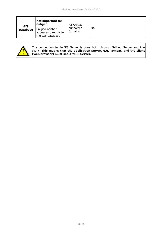| <b>GIS</b><br><b>Database</b> | Not important for<br>Galigeo                                | All ArcGIS           |           |
|-------------------------------|-------------------------------------------------------------|----------------------|-----------|
|                               | Galigeo neither<br>accesses directly to<br>the GIS database | supported<br>formats | <b>NA</b> |



The connection to ArcGIS Server is done both through Galigeo Server and the client. **This means that the application server, e.g. Tomcat, and the client (web browser) must see ArcGIS Server.**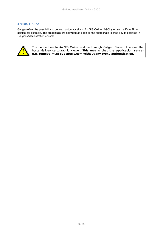#### <span id="page-8-0"></span>**ArcGIS Online**

Galigeo offers the possibility to connect automatically to ArcGIS Online (AGOL) to use the Drive Time service, for example. The credentials are activated as soon as the appropriate license key is declared in Galigeo Administration console.



The connection to ArcGIS Online is done through Galigeo Server, the one that hosts Galigeo cartographic viewer. **This means that the application server, e.g. Tomcat, must see arcgis.com without any proxy authentication.**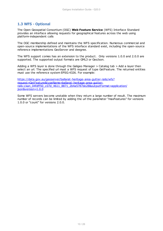## <span id="page-9-0"></span>**1.3 WFS - Optional**

The Open Geospatial Consortium (OGC) **Web Feature Service** (WFS) Interface Standard provides an interface allowing requests for geographical features across the web using platform-independent calls

The OGC membership defined and maintains the WFS specification. Numerous commercial and open-source implementations of the WFS interface standard exist, including the open-source reference implementations GeoServer and deegree.

The WFS support comes has an extension to the product. Only versions 1.0.0 and 2.0.0 are supported. The supported output formats are GML3 or GeoJson.

Adding a WFS layer is done through the Galigeo Manager > Catalog tab > Add a layer then select an url. The specified url must a WFS request of type GetFeature. The returned entities must use the reference system EPSG:4326. For example:

[https://data.gov.au/geoserver/ballarat-heritage-area-gutter-rails/wfs?](https://data.gov.au/geoserver/ballarat-heritage-area-gutter-rails/wfs?request=GetFeature&typeName=ballarat-heritage-area-gutter-rails:ckan_04fdff50_c07d_4611_8871_2b4a5787de28&outputFormat=application/json&version=1.0.0) [request=GetFeature&typeName=ballarat-heritage-area-gutter](https://data.gov.au/geoserver/ballarat-heritage-area-gutter-rails/wfs?request=GetFeature&typeName=ballarat-heritage-area-gutter-rails:ckan_04fdff50_c07d_4611_8871_2b4a5787de28&outputFormat=application/json&version=1.0.0)[rails:ckan\\_04fdff50\\_c07d\\_4611\\_8871\\_2b4a5787de28&outputFormat=application/](https://data.gov.au/geoserver/ballarat-heritage-area-gutter-rails/wfs?request=GetFeature&typeName=ballarat-heritage-area-gutter-rails:ckan_04fdff50_c07d_4611_8871_2b4a5787de28&outputFormat=application/json&version=1.0.0) [json&version=1.0.0](https://data.gov.au/geoserver/ballarat-heritage-area-gutter-rails/wfs?request=GetFeature&typeName=ballarat-heritage-area-gutter-rails:ckan_04fdff50_c07d_4611_8871_2b4a5787de28&outputFormat=application/json&version=1.0.0)

Some WFS servers become unstable when they return a large number of result. The maximum number of records can be limited by adding the url the parameter "maxFeatures" for versions 1.0.0 or "count" for versions 2.0.0.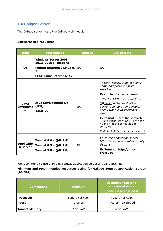## <span id="page-10-0"></span>**1.4 Galigeo Server**

The Galigeo server hosts the Galigeo web module.

#### **Softwares pre-requisites:**

| <b>Item</b>                    | <b>Prerequisite</b>                                                                                                                    | <b>Notices</b> | <b>Check tests</b>                                                                                                                                                                                                                                                                                                                                                                                                                        |
|--------------------------------|----------------------------------------------------------------------------------------------------------------------------------------|----------------|-------------------------------------------------------------------------------------------------------------------------------------------------------------------------------------------------------------------------------------------------------------------------------------------------------------------------------------------------------------------------------------------------------------------------------------------|
| <b>OS</b>                      | <b>Windows Server 2008,</b><br><b>2012, 2016 all editions</b><br>RedHat Enterprise Linux 6, NA<br>7<br><b>SUSE Linux Enterprise 12</b> |                | <b>NA</b>                                                                                                                                                                                                                                                                                                                                                                                                                                 |
| Java<br><b>Environme</b><br>nt | <b>Java Development Kit</b><br>(JDK)<br>$1.8.0$ $xx$                                                                                   | <b>NA</b>      | 1 <sup>st</sup> test (basic): type in a shell<br>command prompt : <b>java -</b><br>version<br><b>Example</b> of expected result:<br>java version "1.8.0_72"<br>$2nd$ test: in the application<br>server configuration console,<br>check what Java version is<br>used.<br><b>Ex Tomcat</b> - Check the parameter<br>« Java Virtual Machine » in the tab<br>« Java » of the configuration<br>console:<br>C:\1.8.0_72\jre\bin\server\jvm.dll |
| <b>Applicatio</b><br>n Server  | <b>Tomcat 8.0.x (jdk 1.8)</b><br><b>Tomcat 8.5.x (jdk 1.8)</b><br><b>Tomcat 9.0.x (jdk 1.8)</b>                                        | <b>NA</b>      | Go to the application server<br>URL. The version number usually<br>displays:<br>Ex Tomcat: http://ggo-<br>srv:8080                                                                                                                                                                                                                                                                                                                        |

We recommend to use a 64 bits Tomcat application server and Java machine.

#### **Minimum and recommended resources sizing for Galigeo Tomcat application server (64 bits):**

| <b>Component</b>     | <b>Minimum</b>  | <b>Recommended for 5</b><br>concurrent users<br>(concurrent sessions) |
|----------------------|-----------------|-----------------------------------------------------------------------|
| <b>Processor</b>     | Type Intel Xeon | Type Intel Xeon                                                       |
| #core                | 2 cores         | 4 cores multithread                                                   |
| <b>Tomcat Memory</b> | 2 Go RAM        | 4 Go RAM                                                              |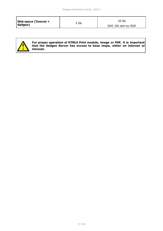| Disk space (Tomcat +<br>2 Go<br>Galigeo) | 10 Go<br>SAS 15k rpm ou SSD |
|------------------------------------------|-----------------------------|
|------------------------------------------|-----------------------------|



**For proper operation of HTML5 Print module, image or PDF, it is important that the Galigeo Server has access to base maps, either on internet or intranet.**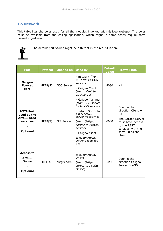## <span id="page-12-0"></span>**1.5 Network**

This table lists the ports used for all the modules involved with Galigeo webapp. The ports must be available from the calling application, which might in some cases require some firewall adjustment.



The default port values might be different in the real situation.

| <b>Port</b>                                                                          | <b>Protocol</b> | <b>Opened on</b>  | <b>Used by</b>                                                                                                                                                                                                                              | <b>Default</b><br><b>Value</b> | <b>Firewall rule</b>                                                                                                                                                    |
|--------------------------------------------------------------------------------------|-----------------|-------------------|---------------------------------------------------------------------------------------------------------------------------------------------------------------------------------------------------------------------------------------------|--------------------------------|-------------------------------------------------------------------------------------------------------------------------------------------------------------------------|
| Galigeo<br><b>Tomcat</b><br>port                                                     | HTTP(S)         | GGO Server        | - BI Client (from<br>BI Portal to GGO<br>server)<br>- Galigeo Client<br>(from client to<br>GGO server)                                                                                                                                      | 8080                           | <b>NA</b>                                                                                                                                                               |
| <b>HTTP Port</b><br>used by the<br><b>ArcGIS REST</b><br>services<br><b>Optional</b> | HTTP(S)         | <b>GIS Server</b> | - Galigeo Manager<br>(from GGO server<br>to ArcGIS server)<br>- Galigeo Server to<br>query ArcGIS<br>server mapservice<br>(from Galigeo<br>server to ArcGIS<br>server)<br>- Galigeo client:<br>to query ArcGIS<br>server basemaps if<br>any | 6080                           | Open in the<br>direction Client $\rightarrow$<br><b>GIS</b><br>The Galigeo Server<br>must have access<br>to the REST<br>services with the<br>same url as the<br>client. |
| <b>Access to</b><br><b>ArcGIS</b><br><b>Online</b><br><b>Optional</b>                | <b>HTTPS</b>    | arcgis.com        | to query ArcGIS<br>Online<br>(from Galigeo<br>server to ArcGIS<br>Online)                                                                                                                                                                   | 443                            | Open in the<br>direction Galigeo<br>Server $\rightarrow$ AGOL                                                                                                           |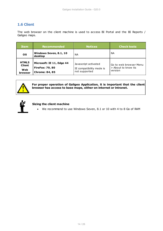## <span id="page-13-0"></span>**1.6 Client**

The web browser on the client machine is used to access BI Portal and the BI Reports / Galigeo maps.

| <b>Item</b>                                            | <b>Recommended</b>                                                           | <b>Notices</b>                                                    | <b>Check tests</b>                                       |
|--------------------------------------------------------|------------------------------------------------------------------------------|-------------------------------------------------------------------|----------------------------------------------------------|
| <b>OS</b>                                              | Windows Seven, 8.1, 10<br>desktop                                            | ΝA                                                                | NА                                                       |
| <b>HTML5</b><br><b>Client</b><br>Web<br><b>browser</b> | Microsoft: IE 11, Edge 44<br><b>FireFox: 79, 80</b><br><b>Chrome: 84, 85</b> | Javascript activated<br>IE compatibility mode is<br>not supported | Go to web browser Menu<br>> About to know its<br>version |



## **For proper operation of Galigeo Application, it is important that the client browser has access to base maps, either on internet or intranet.**



#### **Sizing the client machine**

· We recommend to use Windows Seven, 8.1 or 10 with 4 to 8 Go of RAM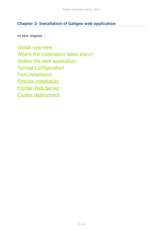# <span id="page-14-0"></span>**Chapter 2: Installation of Galigeo web application**

In this chapter :

[Global overview](#page-15-0) [Where the installation takes place?](#page-15-1) [Deploy the web application](#page-15-2) [Tomcat Configuration](#page-16-0) [Font installation](#page-18-0) [Finalize installation](#page-18-1) [Frontal Web Server](#page-18-2) [Cluster deployment](#page-19-0)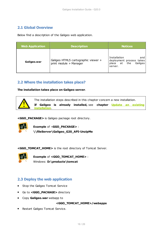## <span id="page-15-0"></span>**2.1 Global Overview**

Below find a description of the Galigeo web application.

| <b>Web Application</b> | <b>Description</b>                                            | <b>Notices</b>                                                                           |
|------------------------|---------------------------------------------------------------|------------------------------------------------------------------------------------------|
| Galigeo.war            | Galigeo HTML5 cartographic viewer +<br>print module + Manager | Installation<br>and<br>deployment process takes<br>the<br>Galigeo<br>place at<br>server. |

## <span id="page-15-1"></span>**2.2 Where the installation takes place?**

**The installation takes place on Galigeo server**.



**<GGO\_PACKAGE>** is Galigeo package root directory.



**Example** of <**GGO\_PACKAGE>** : **\\fileServer\Galigeo\_G20\_API-UnzipMe**

**<GGO\_TOMCAT\_HOME>** is the root directory of Tomcat Server.



**Example** of **<GGO\_TOMCAT\_HOME>** : Windows: **D:\products\tomcat**

## <span id="page-15-2"></span>**2.3 Deploy the web application**

- · Stop the Galigeo Tomcat Service
- · Go to **<GGO\_PACKAGE>** directory
- · Copy **Galigeo.war** webapp to

#### **<GGO\_TOMCAT\_HOME>/webapps**

· Restart Galigeo Tomcat Service.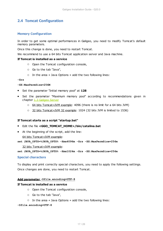## <span id="page-16-0"></span>**2.4 Tomcat Configuration**

#### <span id="page-16-1"></span>**Memory Configuration**

In order to get some optimal performances in Galigeo, you need to modify Tomcat's default memory parameters.

Once this change is done, you need to restart Tomcat.

We recommend to use a 64 bits Tomcat application server and Java machine.

#### **If Tomcat is installed as a service**

- o Open the Tomcat configuration console,
- o Go to the tab "Java",
- o In the area « Java Options » add the two following lines:

**-Xrs**

#### **-XX:MaxPermSize=256M**

- · Set the parameter "Initial memory pool" at **128**
- · Set the parameter "Maximum memory pool" according to recommendations given in chapter [1.3 Galigeo Server](#page-10-0)
	- 64 bits Tomcat+JVM example: 4096 (there is no limit for a 64 bits JVM)
	- o 32 bits Tomcat+JVM 32 example: 1024 (32 bits JVM is limited to 1536)

#### **If Tomcat starts as a script "startup.bat"**

#### · Edit the file **<GGO\_TOMCAT\_HOME>/bin/catalina.bat**

· At the beginning of the script, add the line:

64 bits Tomcat+JVM example:

**set JAVA\_OPTS=%JAVA\_OPTS% -Xmx4096m -Xrs -XX:MaxPermSize=256m**

32 bits Tomcat+JVM example:

**set JAVA\_OPTS=%JAVA\_OPTS% -Xmx1024m -Xrs -XX:MaxPermSize=256m**

#### <span id="page-16-2"></span>**Special characters**

To display and print correctly special characters, you need to apply the following settings. Once changes are done, you need to restart Tomcat.

#### **Add parameter -Dfile.encoding=UTF-8**

#### **If Tomcat is installed as a service**

- o Open the Tomcat configuration console,
- o Go to the tab "Java",
- o In the area « Java Options » add the two following lines:

#### **-Dfile.encoding=UTF-8**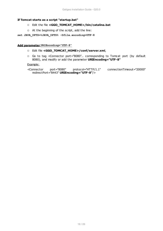#### **If Tomcat starts as a script "startup.bat"**

- o Edit the file **<GGO\_TOMCAT\_HOME>/bin/catalina.bat**
- o At the beginning of the script, add the line:
- **set JAVA\_OPTS=%JAVA\_OPTS% -Dfile.encoding=UTF-8**

#### **Add parameter URIEncoding="UTF-8"**

- o Edit file **<GGO\_TOMCAT\_HOME>/conf/server.xml**,
- o Go to tag <Connector port="8080".. corresponding to Tomcat port (by default 8080), and modify or add the parameter **URIEncoding="UTF-8"**

#### Example:

```
<Connector port="8080" protocol="HTTP/1.1" connectionTimeout="20000"
redirectPort="8443" URIEncoding="UTF-8"/>
```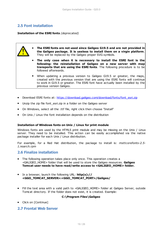## <span id="page-18-0"></span>**2.5 Font installation**

**Installation of the ESRI fonts** *(deprecated)*

- · **The ESRI fonts are not used since Galigeo G19.5 and are not provided in the Galigeo package. It is useless to install them on a virgin platform**. They will be replaced by the Galigeo proper SVG symbols.
	- · **The only case when it is necessary to install the ESRI font is the following: the reinstallation of Galigeo on a new server with map transports that are using the ESRI fonts**. The following procedure is to be followed afterwards.
	- · When updating a previous version to Galigeo G19.5 or greater, the maps, created with the previous version that are using the ESRI fonts will continue to work in G19.5 or greater. The ESRI font have actually been installed by the previous version Galigeo.
- Download ESRI fonts at: [https://download.galigeo.com/download/fonts/font\\_esri.zip](https://download.galigeo.com/download/fonts/font_esri.zip)
- Unzip the zip file font\_esri.zip in a folder on the Galigeo server
- · On Windows, select all the .ttf file, right click then choose "Install"
- · On Unix / Linux the font installation depends on the distribution

#### **Installation of Windows fonts on Unix / Linux for print module**

Windows fonts are used by the HTML5 print module and may be missing on the Unix / Linux server. They need to be installed. This action can be easily accomplished via the native package installer for each Unix / Linux distribution.

For example, for a Red Hat distribution, the package to install is: *msttcorefonts-2.5- 1.noarch.rpm*

## <span id="page-18-1"></span>**2.6 Finalize installation**

- · The following operation takes place only once. This operation creates a <GALIGEO\_HOME> folder that will be used to store the Galigeo resources. **Galigeo Tomcat user needs to have read/write access to <GALIGEO\_HOME> folder.**
- · In a browser, launch the following URL: **http(s):// <GGO\_TOMCAT\_SERVER>:<GGO\_TOMCAT\_PORT>/Galigeo/**
- Fill the text area with a valid path to <GALIGEO HOME> folder at Galigeo Server, outside Tomcat directory. If the folder does not exist, it is created. Example:

#### **C:\Program Files\Galigeo**

• Click on [Continue]

## <span id="page-18-2"></span>**2.7 Frontal Web Server**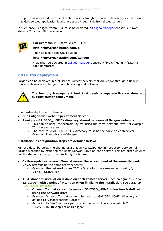If BI portal is accessed from client web browsers trough a frontal web server, you may want that Galigeo web application is also accessed trough this frontal web server.

In such case, Galigeo frontal URL must be declared in [Galigeo Manager](#page-23-0) console > "Proxy" Menu > "External URL" parameter.



**For example**, if BI portal client URL is:

**http://my.organization.com/bi**

Then Galigeo client URL could be:

#### **http://my.organization.com/Galigeo**

that must be declared in [Galigeo Manager](#page-23-0) console > "Proxy" Menu > "External URL" parameter

## <span id="page-19-0"></span>**2.8 Cluster deployment**

Galigeo can be deployed in a cluster of Tomcat servers that are visible through a unique frontal web server in charge of load balancing and fail-over.



**The Territory Management tool, that needs a separate license, does not support cluster deployment.**

In a cluster deployment, there is:

- · **One Galigeo.war webapp per Tomcat Server**
- · **A unique <GALIGEO\_HOME> directory shared between all Galigeo webapps.**
	- o This can be done, for example, by mounting the same Network Drive, for example "Z:", on each server
	- o The path to <GALIGEO\_HOME> directory must be the same on each server. *Example*: Z:\applications\Galigeo

#### **Installation / configuration steps are detailed below:**

**NB:** We describe below the sharing of a unique <GALIGEO\_HOME> directory between all Galigeo webapps by mounting the same Network Drive on each server. This are other ways to do this sharing by using, for example, symbolic links.

- · **0 Prerequisites: on each Tomcat server there is a mount of the same Network Drive,** referencing the same network server.
	- o *Example*: **the network drive "Z:" referencing** the same network path, **\ \<NAS\_SERVER>\**
- · **1 A standard installation is done on each Tomcat server** see paragraphs 2.2 to 2.5 above - **with a point of attention when finalizing the installation,** see paragraph ["2.5 Finalize installation](#page-18-1)":
	- o **On each Tomcat server the same <GALIGEO\_HOME> directory is defined using the network Drive**.
	- o *Example*: On each Tomcat server, the path to <GALIGEO\_HOME> directory is defined to "Z:\applications\Galigeo"
	- o *Remark*: the "real" network path corresponding to the above path is "\ \<NAS\_SERVER>\applications\Galigeo"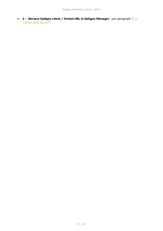· **2 - Declare Galigeo client / frontal URL in Galigeo Manager**: see paragraph ["2.6](#page-18-2) [Frontal Web Server"](#page-18-2).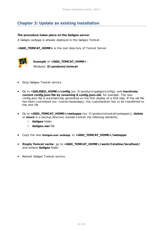# <span id="page-21-0"></span>**Chapter 3: Update an existing installation**

#### **The procedure takes place on the Galigeo server**.

A Galigeo webapp is already deployed in the Galigeo Tomcat.

**<GGO\_TOMCAT\_HOME>** is the root directory of Tomcat Server.



**Example** of **<GGO\_TOMCAT\_HOME>** : Windows: **D:\products\tomcat**

- · Stop Galigeo Tomcat service
- · Go to **<GALIGEO\_HOME>/config** (ex: D:\products\galigeo\config), and **inactivate current config.json file by renaming it config.json.old**, for example. The new config.json file is automatically generated on the first display of a G18 map. If the old file has been customized (ex: custom basemaps), the customization has to be transferred to the new file
- · Go to **<GGO\_TOMCAT\_HOME>/webapps** (ex: D:\products\tomcat\webapps\), **delete** or **move** in a backup directory outside tomcat the following elements:
	- o **Galigeo** folder
	- o **Galigeo.war** file
- · Copy the new **Galigeo.war webapp** to **<GGO\_TOMCAT\_HOME>/webapps**
- · **Empty Tomcat cache**: go to **<GGO\_TOMCAT\_HOME>/work/Catalina/localhost/** and remove **Galigeo** folder
- · Restart Galigeo Tomcat service.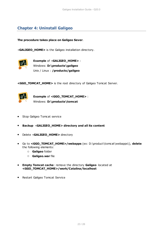# <span id="page-22-0"></span>**Chapter 4: Uninstall Galigeo**

**The procedure takes place on Galigeo Sever**.

<**GALIGEO\_HOME>** is the Galigeo installation directory.



**Example** of <**GALIGEO\_HOME>** : Windows: **D:\products\galigeo** Unix / Linux : **/products/galigeo**

**<GGO\_TOMCAT\_HOME>** is the root directory of Galigeo Tomcat Server.



**Example** of **<GGO\_TOMCAT\_HOME>** : Windows: **D:\products\tomcat**

- · Stop Galigeo Tomcat service
- · **Backup** <**GALIGEO\_HOME> directory and all its content**
- · Delete <**GALIGEO\_HOME>** directory
- · Go to **<GGO\_TOMCAT\_HOME>/webapps** (ex: D:\product\tomcat\webapps\), **delete** the following elements:
	- o **Galigeo** folder
	- o **Galigeo.war** file
- · **Empty Tomcat cache**: remove the directory **Galigeo** located at **<GGO\_TOMCAT\_HOME>/work/Catalina/localhost**
- · Restart Galigeo Tomcat Service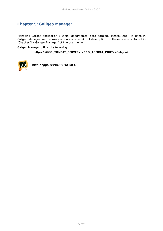# <span id="page-23-0"></span>**Chapter 5: Galigeo Manager**

Managing Galigeo application ; users, geographical data catalog, license, etc ; is done in Galigeo Manager web administration console. A full description of these steps is found in "Chapter 2 - Galigeo Manager" of the user guide.

Galigeo Manager URL is the following:

#### **http://<GGO\_TOMCAT\_SERVER>:<GGO\_TOMCAT\_PORT>/Galigeo/**



**http://ggo-srv:8080/Galigeo/**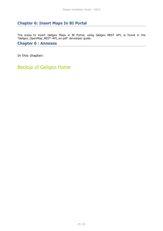# <span id="page-24-0"></span>**Chapter 6: Insert Maps In BI Portal**

The steps to insert Galigeo Maps in BI Portal, using Galigeo REST API, is found in the "Galigeo\_OpenMap\_REST-API\_en.pdf" developer guide.

## <span id="page-24-1"></span>**Chapter 6 : Annexes**

In this chapter:

[Backup of Galigeo Home](#page-25-0)